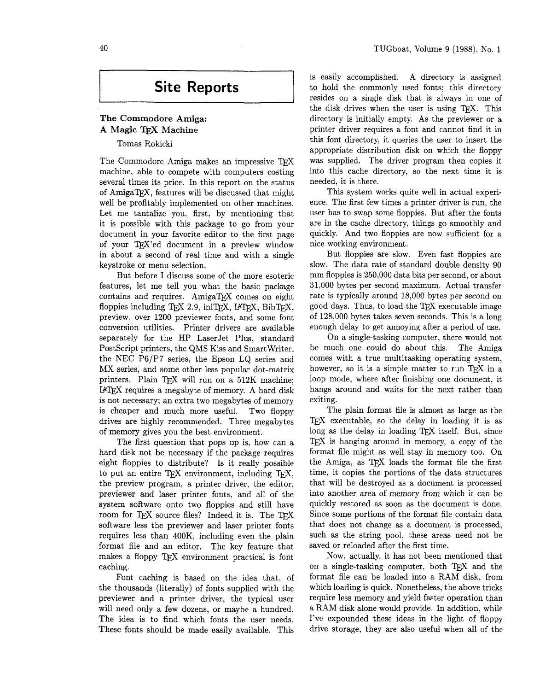# **Site Reports**

# **The Commodore Amiga: A Magic Machine**

Tomas Rokicki

The Commodore Amiga makes an impressive TFX machine, able to compete with computers costing several times its price. In this report on the status of AmigaTEX, features will be discussed that might well be profitably implemented on other machines. Let me tantalize you, first, by mentioning that it is possible with this package to go from your document in your favorite editor to the first page of your TEX'ed document in a preview window in about a second of real time and with a single keystroke or menu selection.

But before I discuss some of the more esoteric features, let me tell you what the basic package contains and requires. AmigaTEX comes on eight floppies including TEX 2.9, iniTEX, IATEX, BibTEX, preview, over 1200 previewer fonts, and some font conversion utilities. Printer drivers are available separately for the HP LaserJet Plus, standard PostScript printers, the QMS Kiss and SmartWriter, the NEC P6/P7 series, the Epson LQ series and MX series, and some other less popular dot-matrix printers. Plain TEX will run on a 512K machine; I4TE.X requires a megabyte of memory. A hard disk is not necessary; an extra two megabytes of memory is cheaper and much more useful. Two floppy drives are highly recommended. Three megabytes of memory gives you the best environment.

The first question that pops up is, how can a hard disk not be necessary if the package requires eight floppies to distribute? Is it really possible to put an entire TFX environment, including TFX, the preview program, a printer driver, the editor, previewer and laser printer fonts, and all of the system software onto two floppies and still have room for TFX source files? Indeed it is. The TFX software less the previewer and laser printer fonts requires less than 400K, including even the plain format file and an editor. The key feature that makes a floppy TEX environment practical is font caching.

Font caching is based on the idea that, of the thousands (literally) of fonts supplied with the previewer and a printer driver, the typical user will need only a few dozens, or maybe a hundred. The idea is to find which fonts the user needs. These fonts should be made easily available. This

is easily accomplished. A directory is assigned to hold the commonly used fonts; this directory resides on a single disk that is always in one of the disk drives when the user is using T<sub>F</sub>X. This directory is initially empty. As the previewer or a printer driver requires a font and cannot find it in this font directory, it queries the user to insert the appropriate distribution disk on which the floppy was supplied. The driver program then copies it into this cache directory, so the next time it is needed, it is there.

This system works quite well in actual experience. The first few times a printer driver is run, the user has to swap some floppies. But after the fonts are in the cache directory, things go smoothly and quickly. And two floppies are now sufficient for a nice working environment.

But floppies are slow. Even fast floppies are slow. The data rate of standard double density 90 mm floppies is 250,000 data bits per second, or about 31,000 bytes per second maximum. Actual transfer rate is typically around 18,000 bytes per second on good days. Thus, to load the TEX executable image of 128,000 bytes takes seven seconds. This is a long enough delay to get annoying after a period of use.

On a single-tasking computer, there would not be much one could do about this. The Amiga comes with a true multitasking operating system, however, so it is a simple matter to run TFX in a loop mode, where after finishing one document, it hangs around and waits for the next rather than exiting.

The plain format file is almost as large as the TEX executable, so the delay in loading it is as long as the delay in loading TEX itself. But, since TEX is hanging around in memory, a copy of the format file might as well stay in memory too. On the Amiga, as TFX loads the format file the first time, it copies the portions of the data structures that will be destroyed as a document is processed into another area of memory from which it can be quickly restored as soon as the document is done. Since some portions of the format file contain data that does not change as a document is processed, such as the string pool, these areas need not be saved or reloaded after the first time.

Now, actually, it has not been mentioned that on a single-tasking computer, both  $TFX$  and the format file can be loaded into a RAM disk, from which loading is quick. Nonetheless, the above tricks require less memory and yield faster operation than a RAM disk alone would provide. In addition, while I've expounded these ideas in the light of floppy drive storage, they are also useful when all of the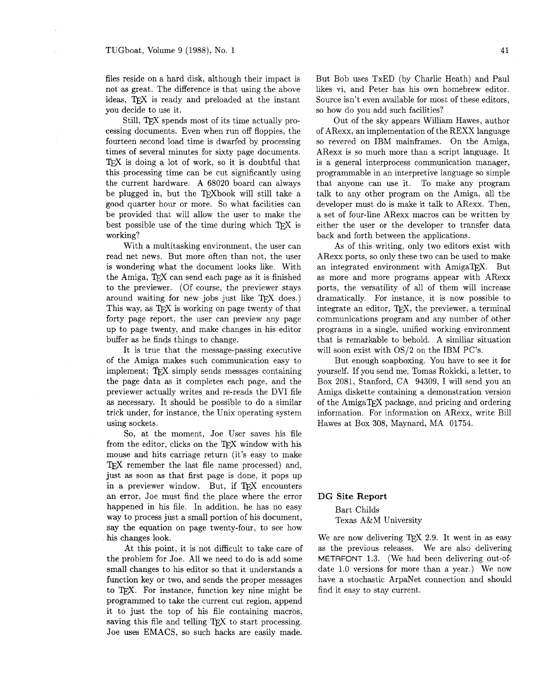files reside on a hard disk, although their impact is not as great. The difference is that using the above ideas, TFX is ready and preloaded at the instant you decide to use it.

Still, TEX spends most of its time actually processing documents. Even when run off floppies, the fourteen second load time is dwarfed by processing times of several minutes for sixty page documents. TEX is doing a lot of work, so it is doubtful that this processing time can be cut significantly using the current hardware. A 68020 board can always be plugged in, but the TFXbook will still take a good quarter hour or more. So what facilities can be provided that will allow the user to make the best possible use of the time during which TFX is working?

With a multitasking environment, the user can read net news. But more often than not, the user is wondering what the document looks like. With the Amiga, TEX can send each page as it is finished to the previewer. (Of course, the previewer stays around waiting for new jobs just like TEX does.) This way, as TFX is working on page twenty of that forty page report, the user can preview any page up to page twenty, and make changes in his editor buffer as he finds things to change.

It is true that the message-passing executive of the Amiga makes such communication easy to implement: TFX simply sends messages containing the page data as it completes each page, and the previewer actually writes and re-reads the DVI file as necessary. It should be possible to do a similar trick under, for instance, the Unix operating system using sockets.

So, at the moment, Joe User saves his file from the editor, clicks on the TFX window with his mouse and hits carriage return (it's easy to make T<sub>F</sub>X remember the last file name processed) and, just as soon as that first page is done, it pops up in a previewer window. But, if TFX encounters an error, Joe must find the place where the error happened in his file. In addition, he has no easy way to process just a small portion of his document, say the equation on page twenty-four, to see how his changes look.

At this point, it is not difficult to take care of the problem for Joe. All we need to do is add some small changes to his editor so that it understands a function key or two, and sends the proper messages to TEX. For instance, function key nine might be programmed to take the current cut region, append it to just the top of his file containing macros, saving this file and telling TFX to start processing. Joe uses EMACS, so such hacks are easily made.

But Bob uses TxED (by Charlie Heath) and Paul likes vi, and Peter has his own homebrew editor. Source isn't even available for most of these editors, so how do you add such facilities?

Out of the sky appears William Hawes, author of ARexx, an implementation of the REXX language so revered on IBM mainframes. On the Amiga, ARexx is so much more than a script language. It is a general interprocess communication manager, programmable in an interpretive language so simple that anyone can use it. To make any program talk to any other program on the Arniga, all the developer must do is make it talk to ARexx. Then, a set of four-line ARexx macros can be written by either the user or the developer to transfer data back and forth between the applications.

As of this writing, only two editors exist with ARexx ports, so only these two can be used to make an integrated environment with AmigaTFX. But as more and more programs appear with ARexx ports, the versatility of all of them will increase dramatically. For instance, it is now possible to integrate an editor, *TFX*, the previewer, a terminal communications program and any number of other programs in a single, unified working environment that is remarkable to behold. A similiar situation will soon exist with OS/2 on the IBM PC's.

But enough soapboxing. You have to see it for yourself. If you send me, Tomas Rokicki, a letter, to Box 2081, Stanford, CA 94309, I will send you an Amiga diskette containing a demonstration version of the AmigaTEX package, and pricing and ordering information. For information on ARexx, write Bill Hawes at Box 308, Maynard, MA 01754.

#### **DG Site Report**

Bart Childs Texas A&M University

We are now delivering TEX 2.9. It went in as easy as the previous releases. We are also delivering METAFONT 1.3. (We had been delivering out-ofdate 1.0 versions for more than a year.) We now have a stochastic ArpaNet connection and should find it easy to stay current.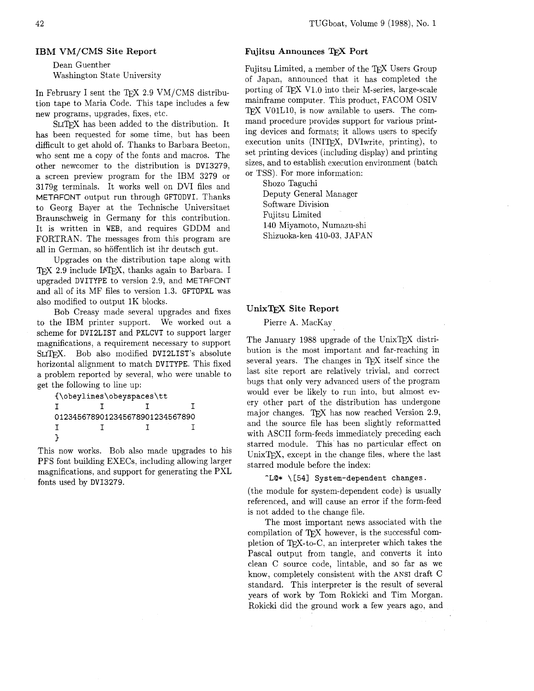Dean Guenther Washington State University

In February I sent the TFX 2.9  $VM/CMS$  distribution tape to Maria Code. This tape includes a few new programs, upgrades, fixes, etc.

SLITFX has been added to the distribution. It has been requested for some time, but has been difficult to get ahold of. Thanks to Barbara Beeton, who sent me a copy of the fonts and macros. The other newcomer to the distribution is DVI3279, a screen preview program for the IBM 3279 or 3179g terminals. It works well on DVI files and METAFONT output run through GFTODVI. Thanks to Georg Bayer at the Technische Universitaet Braunschweig in Germany for this contribution. It is written in WEB, and requires GDDM and FORTRAN. The messages from this program are all in German, so hoffentlich ist ihr deutsch gut.

Upgrades on the distribution tape along with TFX 2.9 include IATFX, thanks again to Barbara. I upgraded DVITYPE to version 2.9, and METAFONT and all of its MF files to version 1.3. GFTOPXL was also modified to output 1K blocks.

Bob Creasy made several upgrades and fixes to the IBM printer support. We worked out a scheme for DVI2LIST and PXLCVT to support larger magnifications, a requirement necessary to support SLITFX. Bob also modified DVI2LIST's absolute horizontal alignment to match DVITYPE. This fixed a problem reported by several, who were unable to get the following to line up:

```
{\obeylines\obeyspaces\tt 
I I I I 
0123456789012345678901234567890 
I I I I 
ι
```
This now works. Bob also made upgrades to his PFS font building EXECS, including allowing larger magnifications, and support for generating the PXL fonts used by DVI3279.

# **Fujitsu Announces** TEX **Port**

Fujitsu Limited, a member of the TEX Users Group of Japan, announced that it has completed the porting of TFX V1.0 into their M-series, large-scale mainframe computer. This product, FACOM OSIV V01L10, is now available to users. The command procedure provides support for various printing devices and formats; it allows users to specify execution units (INIT<sub>F</sub>X, DVIwrite, printing), to set printing devices (including display) and printing sizes, and to establish execution environment (batch or TSS). For more information:

Shozo Taguchi

Deputy General Manager Software Division Fujitsu Limited 140 Miyamoto, Numazu-shi Shizuoka-ken 410-03, JAPAN

# **UnixTFX Site Report**

Pierre A. MacKay

The January 1988 upgrade of the UnixTEX distribution is the most important and far-reaching in several years. The changes in TEX itself since the last site report are relatively trivial, and correct bugs that only very advanced users of the program would ever be likely to run into, but almost every other part of the distribution has undergone major changes. TFX has now reached Version 2.9, and the source file has been slightly reformatted with ASCII form-feeds immediately preceding each starred module. This has no particular effect on Unix $T_F X$ , except in the change files, where the last starred module before the index:

### **-LC!\*** \[541 System-dependent changes.

(the module for system-dependent code) is usually referenced, and will cause an error if the form-feed is not added to the change file.

The most important news associated with the compilation of TEX however, is the successful completion of TEX-to-C, an interpreter which takes the Pascal output from tangle, and converts it into clean C source code, lintable, and so far as we know, completely consistent with the ANSI draft C standard. This interpreter is the result of several years of work by Tom Rokicki and Tim Morgan. Rokicki did the ground work a few years ago, and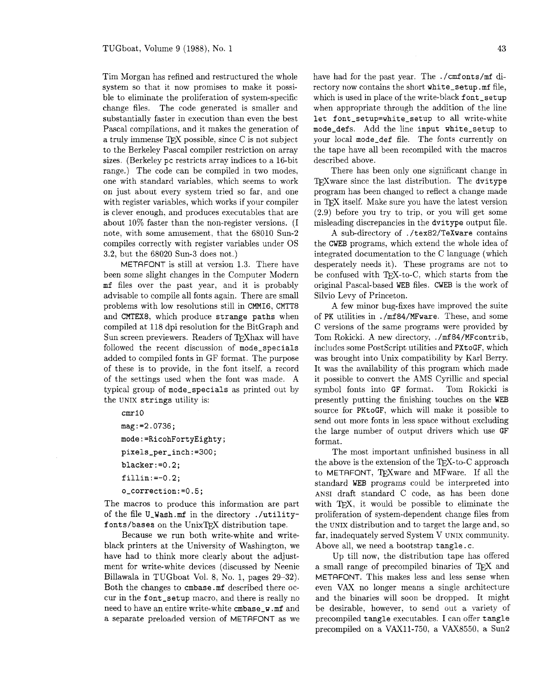Tim Morgan has refined and restructured the whole system so that it now promises to make it possible to eliminate the proliferation of system-specific change files. The code generated is smaller and substantially faster in execution than even the best Pascal compilations, and it makes the generation of a truly immense TEX possible, since C is not subject to the Berkeley Pascal compiler restriction on array sizes. (Berkeley pc restricts array indices to a 16-bit range.) The code can be compiled in two modes, one with standard variables, which seems to work on just about every system tried so far, and one with register variables, which works if your compiler is clever enough. and produces executables that are about 10% faster than the non-register versions. (I note, with some amusement, that the 68010 Sun-2 compiles correctly with register variables under OS 3.2, but the 68020 Sun-3 does not.)

METAFONT is still at version 1.3. There have been some slight changes in the Computer Modern mf files over the past year, and it is probably advisable to compile all fonts again. There are small problems with low resolutions still in CMMI6, CMTT8 and CMTEX8, which produce strange paths when compiled at 118 dpi resolution for the BitGraph and Sun screen previewers. Readers of TFXhax will have followed the recent discussion of mode-specials added to compiled fonts in GF format. The purpose of these is to provide, in the font itself, a record of the settings used when the font was made. A typical group of mode-specials as printed out by the UNIX strings utility is:

```
cmr10mag := 2.0736;mode:=RicohFortyEighty;
pixels_per_inch:=300;
blacker:=0.2;fillin := -0.2:
o_correction:=0.5;
```
The macros to produce this information are part of the file U,Wash.mf in the directory ./utilityfonts/bases on the UnixTFX distribution tape.

Because we run both write-white and writeblack printers at the University of Washington, we have had to think more clearly about the adjustment for write-white devices (discussed by Neenie Billawala in TUGboat Vol. 8, No. 1, pages 29-32). Both the changes to cmbase .mf described there occur in the font-setup macro, and there is really no need to have an entire write-white cmbase-w .mf and a separate preloaded version of METRFONT as we

have had for the past year. The . /cmfonts/mf directory now contains the short white-setup .mf file, which is used in place of the write-black font\_setup when appropriate through the addition of the line let font\_setup=white\_setup to all write-white mode-defs. Add the line input white-setup to your local mode-def file. The fonts currently on the tape have all been recompiled with the macros described above.

There has been only one significant change in TFX ware since the last distribution. The dvitype program has been changed to reflect a change made in TEX itself. Make sure you have the latest version (2.9) before you try to trip, or you will get some misleading discrepancies in the dvitype output file.

A sub-directory of . /tex82/TeXware contains the CWEB programs, which extend the whole idea of integrated documentation to the C language (which desperately needs it). These programs are not to be confused with TEX-to-C, which starts from the original Pascal-based WEB files. CWEB is the work of Silvio Levy of Princeton.

A few minor bug-fixes have improved the suite of PK utilities in . /mf 84/MFware. These, and some C versions of the same programs were provided by Tom Rokicki. A new directory, ./mf84/MFcontrib, includes some PostScript utilities and PXtoGF, which was brought into Unix compatibility by Karl Berry. It was the availability of this program which made it possible to convert the AMS Cyrillic and special symbol fonts into GF format. Tom Rokicki is presently putting the finishing touches on the WEB source for PKtoGF, which will make it possible to send out more fonts in less space without excluding the large number of output drivers which use GF format.

The most important unfinished business in all the above is the extension of the TEX-to-C approach to METAFONT. TrXware and MFware. If all the standard **WEB** programs could be interpreted into ANSI draft standard C code, as has been done with T<sub>EX</sub>, it would be possible to eliminate the proliferation of system-dependent change files from the UNIX distribution and to target the large and, so far, inadequately served System V UNIX community. Above all, we need a bootstrap tangle. c.

Up till now, the distribution tape has offered a small range of precompiled binaries of TEX and METAFONT. This makes less and less sense when even VAX no longer means a single architecture and the binaries will soon be dropped. It might be desirable, however, to send out a variety of precompiled tangle executables. I can offer tangle precompiled on a VAXll-750, a VAX8550, a Sun2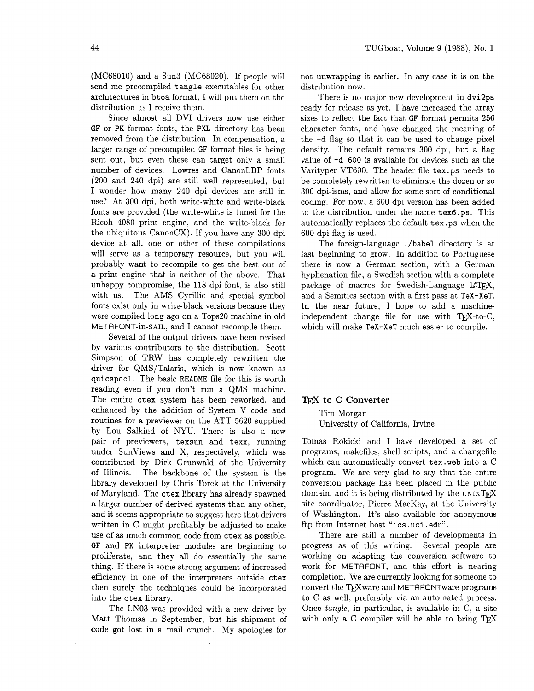(MC68010) and a Sun3 (MC68020). If people will send me precompiled **tangle** executables for other architectures in **btoa** format, I will put them on the distribution as I receive them.

Since almost all DVI drivers now use either GF or PK format fonts, the **PXL** directory has been removed from the distribution. In compensation, a larger range of precompiled GF format files is being sent out, but even these can target only a small number of devices. Lowres and CanonLBP fonts (200 and 240 dpi) are still well represented, but I wonder how many 240 dpi devices are still in use? At 300 dpi, both write-white and write-black fonts are provided (the write-white is tuned for the Ricoh 4080 print engine, and the write-black for the ubiquitous  $CanonCX$ ). If you have any 300 dpi device at all, one or other of these compilations will serve as a temporary resource, but you will probably want to recompile to get the best out of a print engine that is neither of the above. That unhappy compromise, the 118 dpi font, is also still with us. The AMS Cyrillic and special symbol fonts exist only in write-black versions because they were compiled long ago on a Tops20 machine in old METAFONT-in-SAIL, and I cannot recompile them.

Several of the output drivers have been revised by various contributors to the distribution. Scott Simpson of TRW has completely rewritten the driver for QMS/Talaris, which is now known as **quicspool.** The basic README file for this is worth reading even if you don't run a QMS machine. The entire **ctex** system has been reworked, and enhanced by the addition of System V code and routines for a previewer on the ATT 5620 supplied by Lou Salkind of NYU. There is also a new pair of previewers, **texsun** and **texx,** running under SunViews and X, respectively, which was contributed by Dirk Grunwald of the University of Illinois. The backbone of the system is the library developed by Chris Torek at the University of Maryland. The **ctex** library has already spawned a larger number of derived systems than any other, and it seems appropriate to suggest here that drivers written in C might profitably be adjusted to make use of as much common code from **ctex** as possible. GF and PK interpreter modules are beginning to proliferate, and they all do essentially the same thing. If there is some strong argument of increased efficiency in one of the interpreters outside **ctex**  then surely the techniques could be incorporated into the **ctex** library.

The LN03 was provided with a new driver by Matt Thomas in September, but his shipment of code got lost in a mail crunch. My apologies for

not unwrapping it earlier. In any case it is on the distribution now.

There is no major new development in **dvi2ps**  ready for release as yet. I have increased the array sizes to reflect the fact that GF format permits 256 character fonts, and have changed the meaning of the **-d** flag so that it can be used to change pixel density. The default remains 300 dpi, but a flag value of **-d** 600 is available for devices such as the Varityper VT600. The header file **tex. ps** needs to be completely rewritten to eliminate the dozen or so 300 dpi-isms, and allow for some sort of conditional coding. For now, a 600 dpi version has been added to the distribution under the name **tex6.ps**. This automatically replaces the default **tex.ps** when the 600 dpi flag is used.

The foreign-language . **/babel** directory is at last beginning to grow. In addition to Portuguese there is now a German section, with a German hyphenation file, a Swedish section with a complete package of macros for Swedish-Language IATFX, and a Semitics section with a first pass at **TeX-XeT.**  In the near future, I hope to add a machineindependent change file for use with  $T_F X$ -to-C, which will make **TeX-XeT** much easier to compile.

# TFX to C Converter

Tim Morgan University of California, Irvine

Tomas Rokicki and I have developed a set of programs, makefiles, shell scripts, and a changefile which can automatically convert **tex. web** into a C program. We are very glad to say that the entire conversion package has been placed in the public domain, and it is being distributed by the UNIX $T$ FX site coordinator, Pierre MacKay, at the University of Washington. It's also available for anonymous ftp from Internet host **"ics** . **uci** . **edu"** .

There are still a number of developments in progress as of this writing. Several people are working on adapting the conversion software to work for METAFONT, and this effort is nearing completion. We are currently looking for someone to convert the TFX ware and METAFONT ware programs to C as well, preferably via an automated process. Once tangle, in particular, is available in C, a site with only a  $C$  compiler will be able to bring  $T_{F}X$